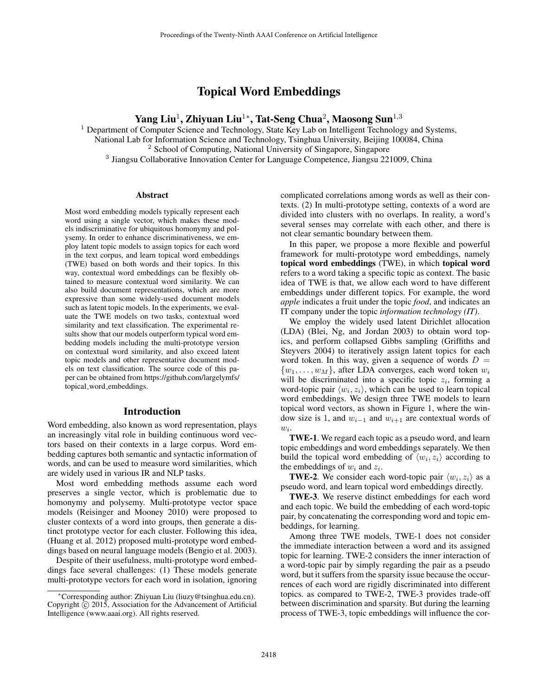# Topical Word Embeddings

Yang Liu $^1$ , Zhiyuan Liu $^{1*}$ , Tat-Seng Chua $^2$ , Maosong Sun $^{1,3}$ 

 $<sup>1</sup>$  Department of Computer Science and Technology, State Key Lab on Intelligent Technology and Systems,</sup> National Lab for Information Science and Technology, Tsinghua University, Beijing 100084, China <sup>2</sup> School of Computing, National University of Singapore, Singapore

<sup>3</sup> Jiangsu Collaborative Innovation Center for Language Competence, Jiangsu 221009, China

#### Abstract

Most word embedding models typically represent each word using a single vector, which makes these models indiscriminative for ubiquitous homonymy and polysemy. In order to enhance discriminativeness, we employ latent topic models to assign topics for each word in the text corpus, and learn topical word embeddings (TWE) based on both words and their topics. In this way, contextual word embeddings can be flexibly obtained to measure contextual word similarity. We can also build document representations, which are more expressive than some widely-used document models such as latent topic models. In the experiments, we evaluate the TWE models on two tasks, contextual word similarity and text classification. The experimental results show that our models outperform typical word embedding models including the multi-prototype version on contextual word similarity, and also exceed latent topic models and other representative document models on text classification. The source code of this paper can be obtained from https://github.com/largelymfs/ topical word embeddings.

#### Introduction

Word embedding, also known as word representation, plays an increasingly vital role in building continuous word vectors based on their contexts in a large corpus. Word embedding captures both semantic and syntactic information of words, and can be used to measure word similarities, which are widely used in various IR and NLP tasks.

Most word embedding methods assume each word preserves a single vector, which is problematic due to homonymy and polysemy. Multi-prototype vector space models (Reisinger and Mooney 2010) were proposed to cluster contexts of a word into groups, then generate a distinct prototype vector for each cluster. Following this idea, (Huang et al. 2012) proposed multi-prototype word embeddings based on neural language models (Bengio et al. 2003).

Despite of their usefulness, multi-prototype word embeddings face several challenges: (1) These models generate multi-prototype vectors for each word in isolation, ignoring complicated correlations among words as well as their contexts. (2) In multi-prototype setting, contexts of a word are divided into clusters with no overlaps. In reality, a word's several senses may correlate with each other, and there is not clear semantic boundary between them.

In this paper, we propose a more flexible and powerful framework for multi-prototype word embeddings, namely topical word embeddings (TWE), in which topical word refers to a word taking a specific topic as context. The basic idea of TWE is that, we allow each word to have different embeddings under different topics. For example, the word *apple* indicates a fruit under the topic *food*, and indicates an IT company under the topic *information technology (IT)*.

We employ the widely used latent Dirichlet allocation (LDA) (Blei, Ng, and Jordan 2003) to obtain word topics, and perform collapsed Gibbs sampling (Griffiths and Steyvers 2004) to iteratively assign latent topics for each word token. In this way, given a sequence of words  $D =$  $\{w_1, \ldots, w_M\}$ , after LDA converges, each word token  $w_i$ will be discriminated into a specific topic  $z_i$ , forming a word-topic pair  $\langle w_i, z_i \rangle$ , which can be used to learn topical word embeddings. We design three TWE models to learn topical word vectors, as shown in Figure 1, where the window size is 1, and  $w_{i-1}$  and  $w_{i+1}$  are contextual words of  $w_i$ .

TWE-1. We regard each topic as a pseudo word, and learn topic embeddings and word embeddings separately. We then build the topical word embedding of  $\langle w_i, z_i \rangle$  according to the embeddings of  $w_i$  and  $z_i$ .

**TWE-2**. We consider each word-topic pair  $\langle w_i, z_i \rangle$  as a pseudo word, and learn topical word embeddings directly.

TWE-3. We reserve distinct embeddings for each word and each topic. We build the embedding of each word-topic pair, by concatenating the corresponding word and topic embeddings, for learning.

Among three TWE models, TWE-1 does not consider the immediate interaction between a word and its assigned topic for learning. TWE-2 considers the inner interaction of a word-topic pair by simply regarding the pair as a pseudo word, but it suffers from the sparsity issue because the occurrences of each word are rigidly discriminated into different topics. as compared to TWE-2, TWE-3 provides trade-off between discrimination and sparsity. But during the learning process of TWE-3, topic embeddings will influence the cor-

<sup>∗</sup>Corresponding author: Zhiyuan Liu (liuzy@tsinghua.edu.cn). Copyright  $\overline{c}$  2015, Association for the Advancement of Artificial Intelligence (www.aaai.org). All rights reserved.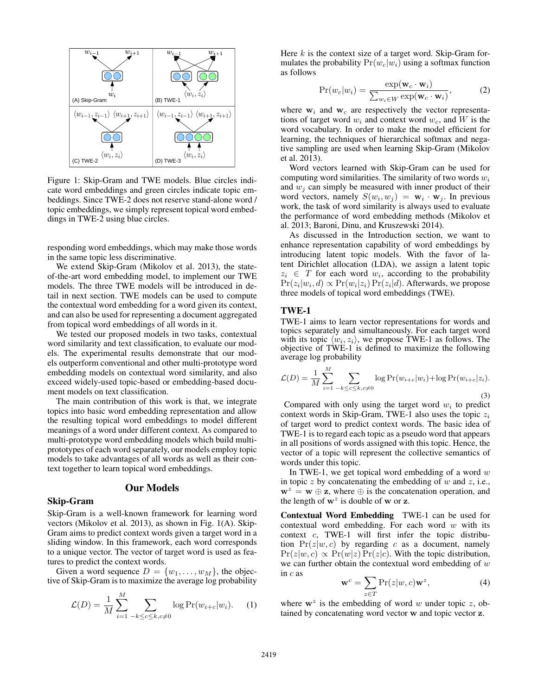

Figure 1: Skip-Gram and TWE models. Blue circles indicate word embeddings and green circles indicate topic embeddings. Since TWE-2 does not reserve stand-alone word / topic embeddings, we simply represent topical word embeddings in TWE-2 using blue circles.

responding word embeddings, which may make those words in the same topic less discriminative.

We extend Skip-Gram (Mikolov et al. 2013), the stateof-the-art word embedding model, to implement our TWE models. The three TWE models will be introduced in detail in next section. TWE models can be used to compute the contextual word embedding for a word given its context, and can also be used for representing a document aggregated from topical word embeddings of all words in it.

We tested our proposed models in two tasks, contextual word similarity and text classification, to evaluate our models. The experimental results demonstrate that our models outperform conventional and other multi-prototype word embedding models on contextual word similarity, and also exceed widely-used topic-based or embedding-based document models on text classification.

The main contribution of this work is that, we integrate topics into basic word embedding representation and allow the resulting topical word embeddings to model different meanings of a word under different context. As compared to multi-prototype word embedding models which build multiprototypes of each word separately, our models employ topic models to take advantages of all words as well as their context together to learn topical word embeddings.

#### Our Models

### Skip-Gram

Skip-Gram is a well-known framework for learning word vectors (Mikolov et al. 2013), as shown in Fig. 1(A). Skip-Gram aims to predict context words given a target word in a sliding window. In this framework, each word corresponds to a unique vector. The vector of target word is used as features to predict the context words.

Given a word sequence  $D = \{w_1, \ldots, w_M\}$ , the objective of Skip-Gram is to maximize the average log probability

$$
\mathcal{L}(D) = \frac{1}{M} \sum_{i=1}^{M} \sum_{-k \le c \le k, c \ne 0} \log \Pr(w_{i+c}|w_i). \tag{1}
$$

Here  $k$  is the context size of a target word. Skip-Gram formulates the probability  $Pr(w_c|w_i)$  using a softmax function as follows

$$
Pr(w_c|w_i) = \frac{\exp(\mathbf{w}_c \cdot \mathbf{w}_i)}{\sum_{w_i \in W} \exp(\mathbf{w}_c \cdot \mathbf{w}_i)},
$$
(2)

where  $w_i$  and  $w_c$  are respectively the vector representations of target word  $w_i$  and context word  $w_c$ , and W is the word vocabulary. In order to make the model efficient for learning, the techniques of hierarchical softmax and negative sampling are used when learning Skip-Gram (Mikolov et al. 2013).

Word vectors learned with Skip-Gram can be used for computing word similarities. The similarity of two words  $w_i$ and  $w_i$  can simply be measured with inner product of their word vectors, namely  $S(w_i, w_j) = \mathbf{w}_i \cdot \mathbf{w}_j$ . In previous work, the task of word similarity is always used to evaluate the performance of word embedding methods (Mikolov et al. 2013; Baroni, Dinu, and Kruszewski 2014).

As discussed in the Introduction section, we want to enhance representation capability of word embeddings by introducing latent topic models. With the favor of latent Dirichlet allocation (LDA), we assign a latent topic  $z_i \in T$  for each word  $w_i$ , according to the probability  $Pr(z_i|w_i, d) \propto Pr(w_i|z_i) Pr(z_i|d)$ . Afterwards, we propose three models of topical word embeddings (TWE).

#### TWE-1

TWE-1 aims to learn vector representations for words and topics separately and simultaneously. For each target word with its topic  $\langle w_i, z_i \rangle$ , we propose TWE-1 as follows. The objective of TWE-1 is defined to maximize the following average log probability

$$
\mathcal{L}(D) = \frac{1}{M} \sum_{i=1}^{M} \sum_{-k \le c \le k, c \neq 0} \log \Pr(w_{i+c}|w_i) + \log \Pr(w_{i+c}|z_i).
$$
\n(3)

Compared with only using the target word  $w_i$  to predict context words in Skip-Gram, TWE-1 also uses the topic  $z_i$ of target word to predict context words. The basic idea of TWE-1 is to regard each topic as a pseudo word that appears in all positions of words assigned with this topic. Hence, the vector of a topic will represent the collective semantics of words under this topic.

In TWE-1, we get topical word embedding of a word  $w$ in topic  $z$  by concatenating the embedding of  $w$  and  $z$ , i.e.,  $w^z = w \oplus z$ , where  $\oplus$  is the concatenation operation, and the length of  $w^z$  is double of w or z.

Contextual Word Embedding TWE-1 can be used for contextual word embedding. For each word  $w$  with its context c, TWE-1 will first infer the topic distribution  $Pr(z|w, c)$  by regarding c as a document, namely  $Pr(z|w, c) \propto Pr(w|z) Pr(z|c)$ . With the topic distribution, we can further obtain the contextual word embedding of  $w$ in c as

$$
\mathbf{w}^c = \sum_{z \in T} \Pr(z|w, c) \mathbf{w}^z, \tag{4}
$$

where  $w^z$  is the embedding of word w under topic z, obtained by concatenating word vector w and topic vector z.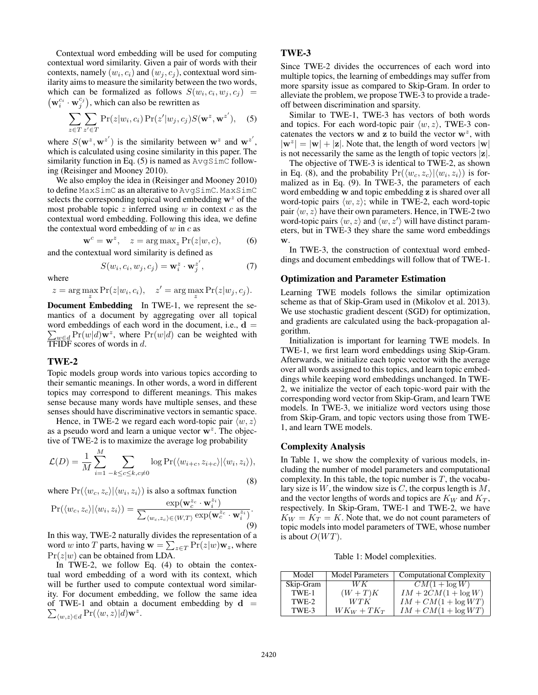Contextual word embedding will be used for computing contextual word similarity. Given a pair of words with their contexts, namely  $(w_i, c_i)$  and  $(w_j, c_j)$ , contextual word similarity aims to measure the similarity between the two words, which can be formalized as follows  $S(w_i, c_i, w_j, c_j)$  =  $(\mathbf{w}_i^{c_i} \cdot \mathbf{w}_j^{c_j})$ , which can also be rewritten as

$$
\sum_{z \in T} \sum_{z' \in T} \Pr(z|w_i, c_i) \Pr(z'|w_j, c_j) S(\mathbf{w}^z, \mathbf{w}^{z'}), \quad (5)
$$

where  $S(\mathbf{w}^z, \mathbf{w}^{z'})$  is the similarity between  $\mathbf{w}^z$  and  $\mathbf{w}^{z'}$ , which is calculated using cosine similarity in this paper. The similarity function in Eq.  $(5)$  is named as  $AvgSimC$  following (Reisinger and Mooney 2010).

We also employ the idea in (Reisinger and Mooney 2010) to define MaxSimC as an alterative to AvgSimC. MaxSimC selects the corresponding topical word embedding  $w^z$  of the most probable topic  $z$  inferred using  $w$  in context  $c$  as the contextual word embedding. Following this idea, we define the contextual word embedding of  $w$  in  $c$  as

$$
\mathbf{w}^c = \mathbf{w}^z, \quad z = \arg \max_z \Pr(z|w, c), \tag{6}
$$

and the contextual word similarity is defined as

$$
S(w_i, c_i, w_j, c_j) = \mathbf{w}_i^z \cdot \mathbf{w}_j^{z'}, \tag{7}
$$

where

$$
z = \arg\max_{z} \Pr(z|w_i, c_i), \quad z' = \arg\max_{z} \Pr(z|w_j, c_j).
$$

Document Embedding In TWE-1, we represent the semantics of a document by aggregating over all topical word embeddings of each word in the document, i.e.,  $\mathbf{d} =$  $\sum_{w \in d} \Pr(w|d)$  w<sup>z</sup>, where  $\Pr(w|d)$  can be weighted with TFIDF scores of words in  $d$ .

## TWE-2

Topic models group words into various topics according to their semantic meanings. In other words, a word in different topics may correspond to different meanings. This makes sense because many words have multiple senses, and these senses should have discriminative vectors in semantic space.

Hence, in TWE-2 we regard each word-topic pair  $\langle w, z \rangle$ as a pseudo word and learn a unique vector  $w^z$ . The objective of TWE-2 is to maximize the average log probability

$$
\mathcal{L}(D) = \frac{1}{M} \sum_{i=1}^{M} \sum_{-k \le c \le k, c \neq 0} \log \Pr(\langle w_{i+c}, z_{i+c} \rangle | \langle w_i, z_i \rangle),
$$
\n(8)

where  $Pr(\langle w_c, z_c \rangle | \langle w_i, z_i \rangle)$  is also a softmax function

$$
\Pr(\langle w_c, z_c \rangle | \langle w_i, z_i \rangle) = \frac{\exp(\mathbf{w}_c^{z_c} \cdot \mathbf{w}_i^{z_i})}{\sum_{\langle w_c, z_c \rangle \in \langle W, T \rangle} \exp(\mathbf{w}_c^{z_c} \cdot \mathbf{w}_i^{z_i})}.
$$
\n(9)

In this way, TWE-2 naturally divides the representation of a word w into T parts, having  $\mathbf{w} = \sum_{z \in T} \Pr(z|w) \mathbf{w}_z$ , where  $Pr(z|w)$  can be obtained from LDA.

In TWE-2, we follow Eq. (4) to obtain the contextual word embedding of a word with its context, which will be further used to compute contextual word similarity. For document embedding, we follow the same idea of TWE-1 and obtain a document embedding by  $d =$  $\sum_{\langle w,z\rangle \in d} \Pr(\langle w,z \rangle | d) \mathbf{w}^z.$ 

### TWE-3

Since TWE-2 divides the occurrences of each word into multiple topics, the learning of embeddings may suffer from more sparsity issue as compared to Skip-Gram. In order to alleviate the problem, we propose TWE-3 to provide a tradeoff between discrimination and sparsity.

Similar to TWE-1, TWE-3 has vectors of both words and topics. For each word-topic pair  $\langle w, z \rangle$ , TWE-3 concatenates the vectors w and z to build the vector  $w^z$ , with  $|\mathbf{w}^z| = |\mathbf{w}| + |\mathbf{z}|$ . Note that, the length of word vectors  $|\mathbf{w}|$ is not necessarily the same as the length of topic vectors  $|z|$ .

The objective of TWE-3 is identical to TWE-2, as shown in Eq. (8), and the probability  $Pr(\langle w_c, z_c \rangle | \langle w_i, z_i \rangle)$  is formalized as in Eq. (9). In TWE-3, the parameters of each word embedding w and topic embedding z is shared over all word-topic pairs  $\langle w, z \rangle$ ; while in TWE-2, each word-topic pair  $\langle w, z \rangle$  have their own parameters. Hence, in TWE-2 two word-topic pairs  $\langle w, z \rangle$  and  $\langle w, z' \rangle$  will have distinct parameters, but in TWE-3 they share the same word embeddings w.

In TWE-3, the construction of contextual word embeddings and document embeddings will follow that of TWE-1.

#### Optimization and Parameter Estimation

Learning TWE models follows the similar optimization scheme as that of Skip-Gram used in (Mikolov et al. 2013). We use stochastic gradient descent (SGD) for optimization, and gradients are calculated using the back-propagation algorithm.

Initialization is important for learning TWE models. In TWE-1, we first learn word embeddings using Skip-Gram. Afterwards, we initialize each topic vector with the average over all words assigned to this topics, and learn topic embeddings while keeping word embeddings unchanged. In TWE-2, we initialize the vector of each topic-word pair with the corresponding word vector from Skip-Gram, and learn TWE models. In TWE-3, we initialize word vectors using those from Skip-Gram, and topic vectors using those from TWE-1, and learn TWE models.

#### Complexity Analysis

In Table 1, we show the complexity of various models, including the number of model parameters and computational complexity. In this table, the topic number is  $T$ , the vocabulary size is  $W$ , the window size is  $C$ , the corpus length is  $M$ , and the vector lengths of words and topics are  $K_W$  and  $K_T$ , respectively. In Skip-Gram, TWE-1 and TWE-2, we have  $K_W = K_T = K$ . Note that, we do not count parameters of topic models into model parameters of TWE, whose number is about  $O(WT)$ .

Table 1: Model complexities.

| Model     | <b>Model Parameters</b> | <b>Computational Complexity</b> |
|-----------|-------------------------|---------------------------------|
| Skip-Gram | WК                      | $CM(1 + \log W)$                |
| TWE-1     | $(W+T)K$                | $IM + 2CM(1 + \log W)$          |
| TWE-2     | WTK                     | $IM + CM(1 + \log WT)$          |
| TWE-3     | $WK_W + TK_T$           | $IM + CM(1 + \log WT)$          |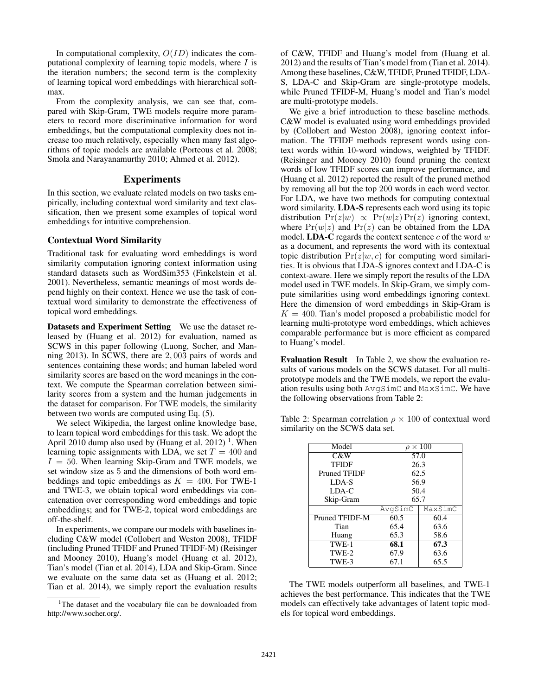In computational complexity,  $O(ID)$  indicates the computational complexity of learning topic models, where  $I$  is the iteration numbers; the second term is the complexity of learning topical word embeddings with hierarchical softmax.

From the complexity analysis, we can see that, compared with Skip-Gram, TWE models require more parameters to record more discriminative information for word embeddings, but the computational complexity does not increase too much relatively, especially when many fast algorithms of topic models are available (Porteous et al. 2008; Smola and Narayanamurthy 2010; Ahmed et al. 2012).

#### Experiments

In this section, we evaluate related models on two tasks empirically, including contextual word similarity and text classification, then we present some examples of topical word embeddings for intuitive comprehension.

## Contextual Word Similarity

Traditional task for evaluating word embeddings is word similarity computation ignoring context information using standard datasets such as WordSim353 (Finkelstein et al. 2001). Nevertheless, semantic meanings of most words depend highly on their context. Hence we use the task of contextual word similarity to demonstrate the effectiveness of topical word embeddings.

Datasets and Experiment Setting We use the dataset released by (Huang et al. 2012) for evaluation, named as SCWS in this paper following (Luong, Socher, and Manning 2013). In SCWS, there are 2, 003 pairs of words and sentences containing these words; and human labeled word similarity scores are based on the word meanings in the context. We compute the Spearman correlation between similarity scores from a system and the human judgements in the dataset for comparison. For TWE models, the similarity between two words are computed using Eq. (5).

We select Wikipedia, the largest online knowledge base, to learn topical word embeddings for this task. We adopt the April 2010 dump also used by (Huang et al. 2012)<sup>1</sup>. When learning topic assignments with LDA, we set  $T = 400$  and  $I = 50$ . When learning Skip-Gram and TWE models, we set window size as 5 and the dimensions of both word embeddings and topic embeddings as  $K = 400$ . For TWE-1 and TWE-3, we obtain topical word embeddings via concatenation over corresponding word embeddings and topic embeddings; and for TWE-2, topical word embeddings are off-the-shelf.

In experiments, we compare our models with baselines including C&W model (Collobert and Weston 2008), TFIDF (including Pruned TFIDF and Pruned TFIDF-M) (Reisinger and Mooney 2010), Huang's model (Huang et al. 2012), Tian's model (Tian et al. 2014), LDA and Skip-Gram. Since we evaluate on the same data set as (Huang et al. 2012; Tian et al. 2014), we simply report the evaluation results

of C&W, TFIDF and Huang's model from (Huang et al. 2012) and the results of Tian's model from (Tian et al. 2014). Among these baselines, C&W, TFIDF, Pruned TFIDF, LDA-S, LDA-C and Skip-Gram are single-prototype models, while Pruned TFIDF-M, Huang's model and Tian's model are multi-prototype models.

We give a brief introduction to these baseline methods. C&W model is evaluated using word embeddings provided by (Collobert and Weston 2008), ignoring context information. The TFIDF methods represent words using context words within 10-word windows, weighted by TFIDF. (Reisinger and Mooney 2010) found pruning the context words of low TFIDF scores can improve performance, and (Huang et al. 2012) reported the result of the pruned method by removing all but the top 200 words in each word vector. For LDA, we have two methods for computing contextual word similarity. LDA-S represents each word using its topic distribution  $Pr(z|w) \propto Pr(w|z) Pr(z)$  ignoring context, where  $Pr(w|z)$  and  $Pr(z)$  can be obtained from the LDA model. **LDA-C** regards the context sentence  $c$  of the word  $w$ as a document, and represents the word with its contextual topic distribution  $Pr(z|w, c)$  for computing word similarities. It is obvious that LDA-S ignores context and LDA-C is context-aware. Here we simply report the results of the LDA model used in TWE models. In Skip-Gram, we simply compute similarities using word embeddings ignoring context. Here the dimension of word embeddings in Skip-Gram is  $K = 400$ . Tian's model proposed a probabilistic model for learning multi-prototype word embeddings, which achieves comparable performance but is more efficient as compared to Huang's model.

Evaluation Result In Table 2, we show the evaluation results of various models on the SCWS dataset. For all multiprototype models and the TWE models, we report the evaluation results using both AvgSimC and MaxSimC. We have the following observations from Table 2:

Table 2: Spearman correlation  $\rho \times 100$  of contextual word similarity on the SCWS data set.

| Model                               | $\rho \times 100$ |         |  |
|-------------------------------------|-------------------|---------|--|
| $\overline{\mathrm{C}}\&\mathrm{W}$ | 57.0              |         |  |
| <b>TFIDF</b>                        | 26.3              |         |  |
| Pruned TFIDF                        | 62.5              |         |  |
| LDA-S                               | 56.9              |         |  |
| LDA-C                               | 50.4              |         |  |
| Skip-Gram                           | 65.7              |         |  |
|                                     | AvgSimC           | MaxSimC |  |
| Pruned TFIDF-M                      | 60.5              | 60.4    |  |
| Tian                                | 65.4              | 63.6    |  |
| Huang                               | 65.3              | 58.6    |  |
| TWE-1                               | 68.1              | 67.3    |  |
|                                     | 67.9              | 63.6    |  |
| TWE-2                               |                   |         |  |

The TWE models outperform all baselines, and TWE-1 achieves the best performance. This indicates that the TWE models can effectively take advantages of latent topic models for topical word embeddings.

<sup>&</sup>lt;sup>1</sup>The dataset and the vocabulary file can be downloaded from http://www.socher.org/.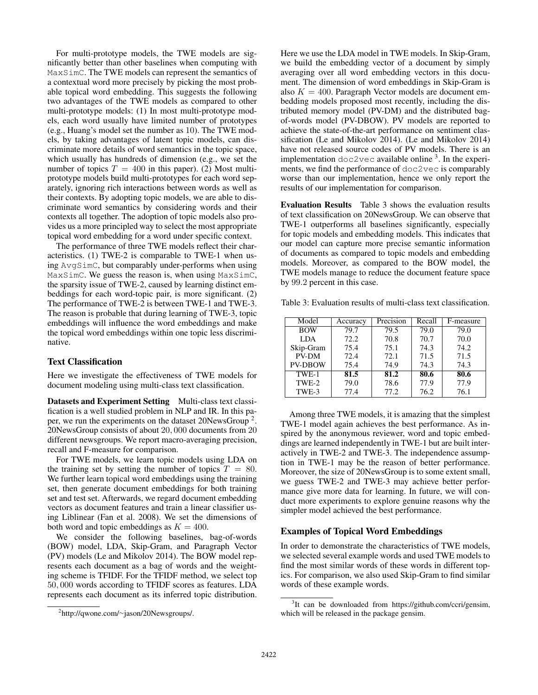For multi-prototype models, the TWE models are significantly better than other baselines when computing with MaxSimC. The TWE models can represent the semantics of a contextual word more precisely by picking the most probable topical word embedding. This suggests the following two advantages of the TWE models as compared to other multi-prototype models: (1) In most multi-prototype models, each word usually have limited number of prototypes (e.g., Huang's model set the number as 10). The TWE models, by taking advantages of latent topic models, can discriminate more details of word semantics in the topic space, which usually has hundreds of dimension (e.g., we set the number of topics  $T = 400$  in this paper). (2) Most multiprototype models build multi-prototypes for each word separately, ignoring rich interactions between words as well as their contexts. By adopting topic models, we are able to discriminate word semantics by considering words and their contexts all together. The adoption of topic models also provides us a more principled way to select the most appropriate topical word embedding for a word under specific context.

The performance of three TWE models reflect their characteristics. (1) TWE-2 is comparable to TWE-1 when using AvgSimC, but comparably under-performs when using MaxSimC. We guess the reason is, when using MaxSimC, the sparsity issue of TWE-2, caused by learning distinct embeddings for each word-topic pair, is more significant. (2) The performance of TWE-2 is between TWE-1 and TWE-3. The reason is probable that during learning of TWE-3, topic embeddings will influence the word embeddings and make the topical word embeddings within one topic less discriminative.

### Text Classification

Here we investigate the effectiveness of TWE models for document modeling using multi-class text classification.

Datasets and Experiment Setting Multi-class text classification is a well studied problem in NLP and IR. In this paper, we run the experiments on the dataset 20NewsGroup<sup>2</sup>. 20NewsGroup consists of about 20, 000 documents from 20 different newsgroups. We report macro-averaging precision, recall and F-measure for comparison.

For TWE models, we learn topic models using LDA on the training set by setting the number of topics  $T = 80$ . We further learn topical word embeddings using the training set, then generate document embeddings for both training set and test set. Afterwards, we regard document embedding vectors as document features and train a linear classifier using Liblinear (Fan et al. 2008). We set the dimensions of both word and topic embeddings as  $K = 400$ .

We consider the following baselines, bag-of-words (BOW) model, LDA, Skip-Gram, and Paragraph Vector (PV) models (Le and Mikolov 2014). The BOW model represents each document as a bag of words and the weighting scheme is TFIDF. For the TFIDF method, we select top 50, 000 words according to TFIDF scores as features. LDA represents each document as its inferred topic distribution.

Here we use the LDA model in TWE models. In Skip-Gram, we build the embedding vector of a document by simply averaging over all word embedding vectors in this document. The dimension of word embeddings in Skip-Gram is also  $K = 400$ . Paragraph Vector models are document embedding models proposed most recently, including the distributed memory model (PV-DM) and the distributed bagof-words model (PV-DBOW). PV models are reported to achieve the state-of-the-art performance on sentiment classification (Le and Mikolov 2014). (Le and Mikolov 2014) have not released source codes of PV models. There is an implementation  $doc2vec$  available online  $3$ . In the experiments, we find the performance of doc2vec is comparably worse than our implementation, hence we only report the results of our implementation for comparison.

Evaluation Results Table 3 shows the evaluation results of text classification on 20NewsGroup. We can observe that TWE-1 outperforms all baselines significantly, especially for topic models and embedding models. This indicates that our model can capture more precise semantic information of documents as compared to topic models and embedding models. Moreover, as compared to the BOW model, the TWE models manage to reduce the document feature space by 99.2 percent in this case.

Table 3: Evaluation results of multi-class text classification.

| Model          | Accuracy | Precision | Recall | F-measure |
|----------------|----------|-----------|--------|-----------|
| <b>BOW</b>     | 79.7     | 79.5      | 79.0   | 79.0      |
| <b>LDA</b>     | 72.2     | 70.8      | 70.7   | 70.0      |
| Skip-Gram      | 75.4     | 75.1      | 74.3   | 74.2      |
| PV-DM          | 72.4     | 72.1      | 71.5   | 71.5      |
| <b>PV-DBOW</b> | 75.4     | 74.9      | 74.3   | 74.3      |
| TWE-1          | 81.5     | 81.2      | 80.6   | 80.6      |
| TWE-2          | 79.0     | 78.6      | 77.9   | 77.9      |
| TWE-3          | 77.4     | 77.2      | 76.2   | 76.1      |

Among three TWE models, it is amazing that the simplest TWE-1 model again achieves the best performance. As inspired by the anonymous reviewer, word and topic embeddings are learned independently in TWE-1 but are built interactively in TWE-2 and TWE-3. The independence assumption in TWE-1 may be the reason of better performance. Moreover, the size of 20NewsGroup is to some extent small, we guess TWE-2 and TWE-3 may achieve better performance give more data for learning. In future, we will conduct more experiments to explore genuine reasons why the simpler model achieved the best performance.

# Examples of Topical Word Embeddings

In order to demonstrate the characteristics of TWE models, we selected several example words and used TWE models to find the most similar words of these words in different topics. For comparison, we also used Skip-Gram to find similar words of these example words.

<sup>2</sup> http://qwone.com/∼jason/20Newsgroups/.

<sup>&</sup>lt;sup>3</sup>It can be downloaded from https://github.com/ccri/gensim, which will be released in the package gensim.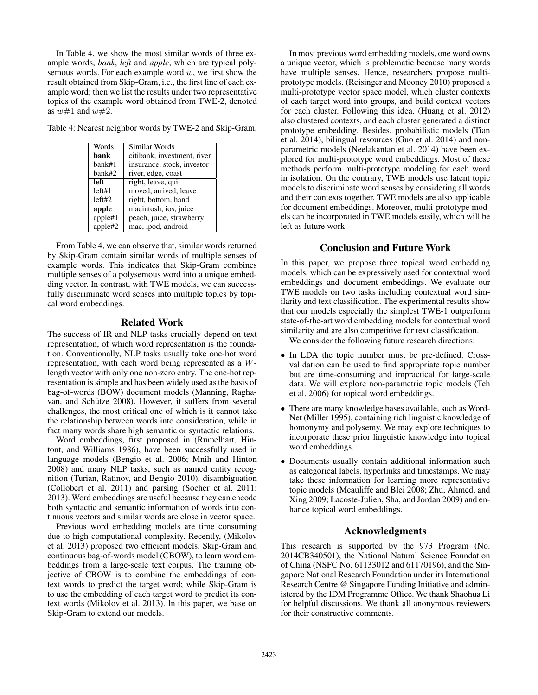In Table 4, we show the most similar words of three example words, *bank*, *left* and *apple*, which are typical polysemous words. For each example word  $w$ , we first show the result obtained from Skip-Gram, i.e., the first line of each example word; then we list the results under two representative topics of the example word obtained from TWE-2, denoted as  $w\#1$  and  $w\#2$ .

Table 4: Nearest neighbor words by TWE-2 and Skip-Gram.

| Words   | Similar Words               |
|---------|-----------------------------|
| bank    | citibank, investment, river |
| bank#1  | insurance, stock, investor  |
| bank#2  | river, edge, coast          |
| left    | right, leave, quit          |
| left#1  | moved, arrived, leave       |
| left#2  | right, bottom, hand         |
| apple   | macintosh, ios, juice       |
| apple#1 | peach, juice, strawberry    |
| apple#2 | mac, ipod, android          |

From Table 4, we can observe that, similar words returned by Skip-Gram contain similar words of multiple senses of example words. This indicates that Skip-Gram combines multiple senses of a polysemous word into a unique embedding vector. In contrast, with TWE models, we can successfully discriminate word senses into multiple topics by topical word embeddings.

### Related Work

The success of IR and NLP tasks crucially depend on text representation, of which word representation is the foundation. Conventionally, NLP tasks usually take one-hot word representation, with each word being represented as a Wlength vector with only one non-zero entry. The one-hot representation is simple and has been widely used as the basis of bag-of-words (BOW) document models (Manning, Raghavan, and Schütze 2008). However, it suffers from several challenges, the most critical one of which is it cannot take the relationship between words into consideration, while in fact many words share high semantic or syntactic relations.

Word embeddings, first proposed in (Rumelhart, Hintont, and Williams 1986), have been successfully used in language models (Bengio et al. 2006; Mnih and Hinton 2008) and many NLP tasks, such as named entity recognition (Turian, Ratinov, and Bengio 2010), disambiguation (Collobert et al. 2011) and parsing (Socher et al. 2011; 2013). Word embeddings are useful because they can encode both syntactic and semantic information of words into continuous vectors and similar words are close in vector space.

Previous word embedding models are time consuming due to high computational complexity. Recently, (Mikolov et al. 2013) proposed two efficient models, Skip-Gram and continuous bag-of-words model (CBOW), to learn word embeddings from a large-scale text corpus. The training objective of CBOW is to combine the embeddings of context words to predict the target word; while Skip-Gram is to use the embedding of each target word to predict its context words (Mikolov et al. 2013). In this paper, we base on Skip-Gram to extend our models.

In most previous word embedding models, one word owns a unique vector, which is problematic because many words have multiple senses. Hence, researchers propose multiprototype models. (Reisinger and Mooney 2010) proposed a multi-prototype vector space model, which cluster contexts of each target word into groups, and build context vectors for each cluster. Following this idea, (Huang et al. 2012) also clustered contexts, and each cluster generated a distinct prototype embedding. Besides, probabilistic models (Tian et al. 2014), bilingual resources (Guo et al. 2014) and nonparametric models (Neelakantan et al. 2014) have been explored for multi-prototype word embeddings. Most of these methods perform multi-prototype modeling for each word in isolation. On the contrary, TWE models use latent topic models to discriminate word senses by considering all words and their contexts together. TWE models are also applicable for document embeddings. Moreover, multi-prototype models can be incorporated in TWE models easily, which will be left as future work.

# Conclusion and Future Work

In this paper, we propose three topical word embedding models, which can be expressively used for contextual word embeddings and document embeddings. We evaluate our TWE models on two tasks including contextual word similarity and text classification. The experimental results show that our models especially the simplest TWE-1 outperform state-of-the-art word embedding models for contextual word similarity and are also competitive for text classification.

We consider the following future research directions:

- In LDA the topic number must be pre-defined. Crossvalidation can be used to find appropriate topic number but are time-consuming and impractical for large-scale data. We will explore non-parametric topic models (Teh et al. 2006) for topical word embeddings.
- There are many knowledge bases available, such as Word-Net (Miller 1995), containing rich linguistic knowledge of homonymy and polysemy. We may explore techniques to incorporate these prior linguistic knowledge into topical word embeddings.
- Documents usually contain additional information such as categorical labels, hyperlinks and timestamps. We may take these information for learning more representative topic models (Mcauliffe and Blei 2008; Zhu, Ahmed, and Xing 2009; Lacoste-Julien, Sha, and Jordan 2009) and enhance topical word embeddings.

# Acknowledgments

This research is supported by the 973 Program (No. 2014CB340501), the National Natural Science Foundation of China (NSFC No. 61133012 and 61170196), and the Singapore National Research Foundation under its International Research Centre @ Singapore Funding Initiative and administered by the IDM Programme Office. We thank Shaohua Li for helpful discussions. We thank all anonymous reviewers for their constructive comments.